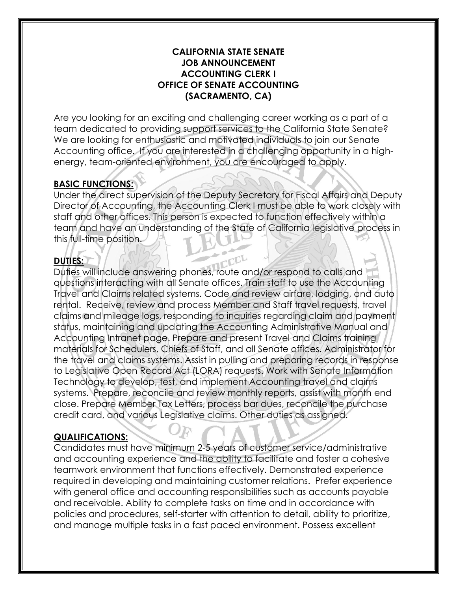#### **CALIFORNIA STATE SENATE JOB ANNOUNCEMENT ACCOUNTING CLERK I OFFICE OF SENATE ACCOUNTING (SACRAMENTO, CA)**

Are you looking for an exciting and challenging career working as a part of a team dedicated to providing support services to the California State Senate? We are looking for enthusiastic and motivated individuals to join our Senate Accounting office. If you are interested in a challenging opportunity in a highenergy, team-oriented environment, you are encouraged to apply.

## **BASIC FUNCTIONS:**

Under the direct supervision of the Deputy Secretary for Fiscal Affairs and Deputy Director of Accounting, the Accounting Clerk I must be able to work closely with staff and other offices. This person is expected to function effectively within a team and have an understanding of the State of California legislative process in this full-time position.

### **DUTIES:**

Duties will include answering phones, route and/or respond to calls and questions interacting with all Senate offices. Train staff to use the Accounting Travel and Claims related systems. Code and review airfare, lodging, and auto rental. Receive, review and process Member and Staff travel requests, travel claims and mileage logs, responding to inquiries regarding claim and payment status, maintaining and updating the Accounting Administrative Manual and Accounting Intranet page. Prepare and present Travel and Claims training materials for Schedulers, Chiefs of Staff, and all Senate offices. Administrator for the travel and claims systems. Assist in pulling and preparing records in response to Legislative Open Record Act (LORA) requests. Work with Senate Information Technology to develop, test, and implement Accounting travel and claims systems. Prepare, reconcile and review monthly reports, assist with month end close. Prepare Member Tax Letters, process bar dues, reconcile the purchase credit card, and various Legislative claims. Other duties as assigned.

#### **QUALIFICATIONS:**

Candidates must have minimum 2-5 years of customer service/administrative and accounting experience and the ability to facilitate and foster a cohesive teamwork environment that functions effectively. Demonstrated experience required in developing and maintaining customer relations. Prefer experience with general office and accounting responsibilities such as accounts payable and receivable. Ability to complete tasks on time and in accordance with policies and procedures, self-starter with attention to detail, ability to prioritize, and manage multiple tasks in a fast paced environment. Possess excellent